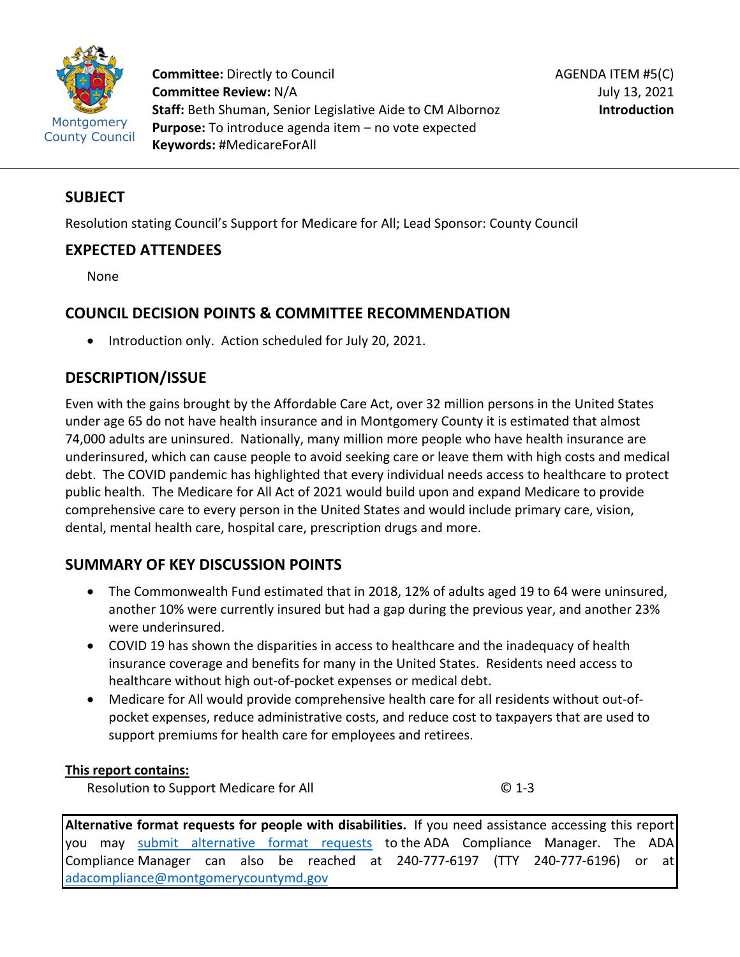

**Committee:** Directly to Council **Committee Review:** N/A **Staff:** Beth Shuman, Senior Legislative Aide to CM Albornoz **Purpose:** To introduce agenda item – no vote expected **Keywords:** #MedicareForAll

## **SUBJECT**

Resolution stating Council's Support for Medicare for All; Lead Sponsor: County Council

## **EXPECTED ATTENDEES**

None

# **COUNCIL DECISION POINTS & COMMITTEE RECOMMENDATION**

• Introduction only. Action scheduled for July 20, 2021.

# **DESCRIPTION/ISSUE**

Even with the gains brought by the Affordable Care Act, over 32 million persons in the United States under age 65 do not have health insurance and in Montgomery County it is estimated that almost 74,000 adults are uninsured. Nationally, many million more people who have health insurance are underinsured, which can cause people to avoid seeking care or leave them with high costs and medical debt. The COVID pandemic has highlighted that every individual needs access to healthcare to protect public health. The Medicare for All Act of 2021 would build upon and expand Medicare to provide comprehensive care to every person in the United States and would include primary care, vision, dental, mental health care, hospital care, prescription drugs and more.

# **SUMMARY OF KEY DISCUSSION POINTS**

- The Commonwealth Fund estimated that in 2018, 12% of adults aged 19 to 64 were uninsured, another 10% were currently insured but had a gap during the previous year, and another 23% were underinsured.
- COVID 19 has shown the disparities in access to healthcare and the inadequacy of health insurance coverage and benefits for many in the United States. Residents need access to healthcare without high out-of-pocket expenses or medical debt.
- Medicare for All would provide comprehensive health care for all residents without out-ofpocket expenses, reduce administrative costs, and reduce cost to taxpayers that are used to support premiums for health care for employees and retirees.

## **This report contains:**

Resolution to Support Medicare for All © 1-3

**Alternative format requests for people with disabilities.** If you need assistance accessing this report you may [submit alternative format requests](https://gcc01.safelinks.protection.outlook.com/?url=http%3A%2F%2Fwww2.montgomerycountymd.gov%2Fmcgportalapps%2FAccessibilityForm.aspx&data=02%7C01%7Csandra.marin%40montgomerycountymd.gov%7C79d44e803a8846df027008d6ad4e4d1b%7C6e01b1f9b1e54073ac97778069a0ad64%7C0%7C0%7C636886950086244453&sdata=AT2lwLz22SWBJ8c92gXfspY8lQVeGCrUbqSPzpYheB0%3D&reserved=0) to the ADA Compliance Manager. The ADA Compliance Manager can also be reached at 240-777-6197 (TTY 240-777-6196) or at [adacompliance@montgomerycountymd.gov](mailto:adacompliance@montgomerycountymd.gov)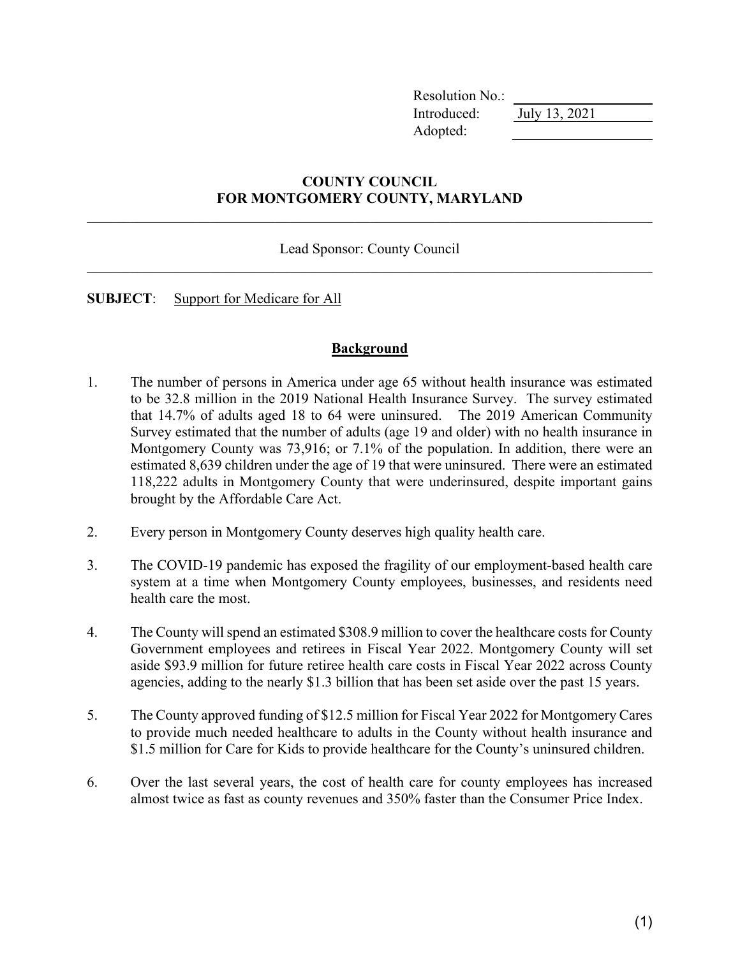Resolution No.: Introduced: July 13, 2021 Adopted:

## **COUNTY COUNCIL FOR MONTGOMERY COUNTY, MARYLAND**

Lead Sponsor: County Council \_\_\_\_\_\_\_\_\_\_\_\_\_\_\_\_\_\_\_\_\_\_\_\_\_\_\_\_\_\_\_\_\_\_\_\_\_\_\_\_\_\_\_\_\_\_\_\_\_\_\_\_\_\_\_\_\_\_\_\_\_\_\_\_\_\_\_\_\_\_\_\_\_\_\_\_\_\_

**SUBJECT**: Support for Medicare for All

#### **Background**

- 1. The number of persons in America under age 65 without health insurance was estimated to be 32.8 million in the 2019 National Health Insurance Survey. The survey estimated that 14.7% of adults aged 18 to 64 were uninsured. The 2019 American Community Survey estimated that the number of adults (age 19 and older) with no health insurance in Montgomery County was 73,916; or 7.1% of the population. In addition, there were an estimated 8,639 children under the age of 19 that were uninsured. There were an estimated 118,222 adults in Montgomery County that were underinsured, despite important gains brought by the Affordable Care Act.
- 2. Every person in Montgomery County deserves high quality health care.
- 3. The COVID-19 pandemic has exposed the fragility of our employment-based health care system at a time when Montgomery County employees, businesses, and residents need health care the most.
- 4. The County will spend an estimated \$308.9 million to cover the healthcare costs for County Government employees and retirees in Fiscal Year 2022. Montgomery County will set aside \$93.9 million for future retiree health care costs in Fiscal Year 2022 across County agencies, adding to the nearly \$1.3 billion that has been set aside over the past 15 years.
- 5. The County approved funding of \$12.5 million for Fiscal Year 2022 for Montgomery Cares to provide much needed healthcare to adults in the County without health insurance and \$1.5 million for Care for Kids to provide healthcare for the County's uninsured children.
- 6. Over the last several years, the cost of health care for county employees has increased almost twice as fast as county revenues and 350% faster than the Consumer Price Index.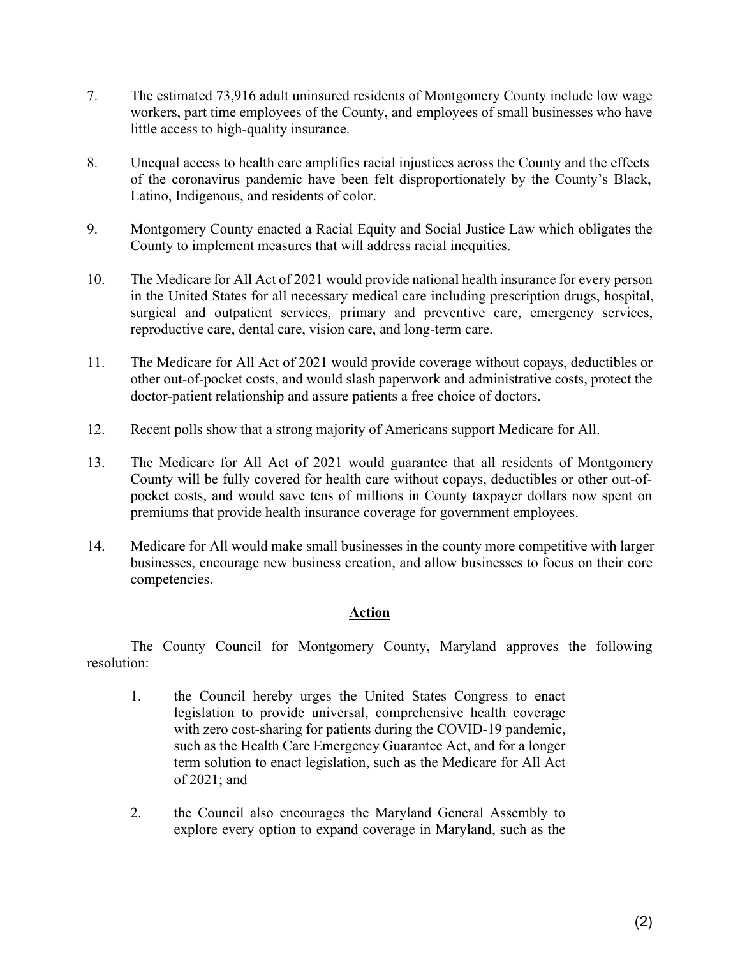- 7. The estimated 73,916 adult uninsured residents of Montgomery County include low wage workers, part time employees of the County, and employees of small businesses who have little access to high-quality insurance.
- 8. Unequal access to health care amplifies racial injustices across the County and the effects of the coronavirus pandemic have been felt disproportionately by the County's Black, Latino, Indigenous, and residents of color.
- 9. Montgomery County enacted a Racial Equity and Social Justice Law which obligates the County to implement measures that will address racial inequities.
- 10. The Medicare for All Act of 2021 would provide national health insurance for every person in the United States for all necessary medical care including prescription drugs, hospital, surgical and outpatient services, primary and preventive care, emergency services, reproductive care, dental care, vision care, and long-term care.
- 11. The Medicare for All Act of 2021 would provide coverage without copays, deductibles or other out-of-pocket costs, and would slash paperwork and administrative costs, protect the doctor-patient relationship and assure patients a free choice of doctors.
- 12. Recent polls show that a strong majority of Americans support Medicare for All.
- 13. The Medicare for All Act of 2021 would guarantee that all residents of Montgomery County will be fully covered for health care without copays, deductibles or other out-ofpocket costs, and would save tens of millions in County taxpayer dollars now spent on premiums that provide health insurance coverage for government employees.
- 14. Medicare for All would make small businesses in the county more competitive with larger businesses, encourage new business creation, and allow businesses to focus on their core competencies.

## **Action**

The County Council for Montgomery County, Maryland approves the following resolution:

- 1. the Council hereby urges the United States Congress to enact legislation to provide universal, comprehensive health coverage with zero cost-sharing for patients during the COVID-19 pandemic, such as the Health Care Emergency Guarantee Act, and for a longer term solution to enact legislation, such as the Medicare for All Act of 2021; and
- 2. the Council also encourages the Maryland General Assembly to explore every option to expand coverage in Maryland, such as the